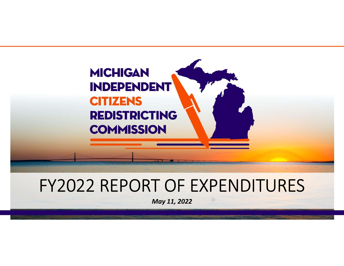

# FY2022 REPORT OF EXPENDITURES

May 11, 2022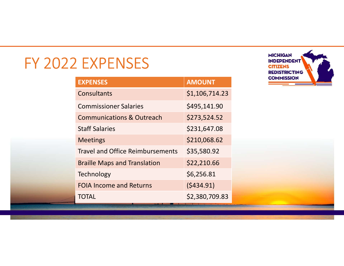# FY 2022 EXPENSES

| <b>EXPENSES</b>                         |                |
|-----------------------------------------|----------------|
| <b>EXPENSES</b>                         | <b>AMOUNT</b>  |
| <b>Consultants</b>                      | \$1,106,714.23 |
| <b>Commissioner Salaries</b>            | \$495,141.90   |
| <b>Communications &amp; Outreach</b>    | \$273,524.52   |
| <b>Staff Salaries</b>                   | \$231,647.08   |
| <b>Meetings</b>                         | \$210,068.62   |
| <b>Travel and Office Reimbursements</b> | \$35,580.92    |
| <b>Braille Maps and Translation</b>     | \$22,210.66    |
| <b>Technology</b>                       | \$6,256.81     |
| <b>FOIA Income and Returns</b>          | (5434.91)      |
| <b>TOTAL</b>                            | \$2,380,709.83 |
|                                         |                |
|                                         |                |

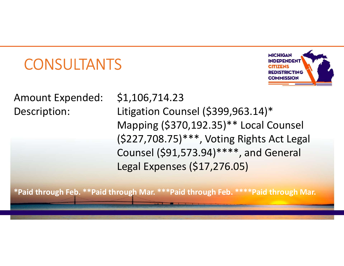# **CONSULTANTS**



CONSULTANTS<br>
Amount Expended: \$1,106,714.23<br>
Description: Litigation Counsel (\$399,963.1<br>
Mapping (\$370,192.35)\*\* Loca CONSULTANTS<br>
Amount Expended: \$1,106,714.23<br>
Description: Litigation Counsel (\$399,963.14)\*<br>
Mapping (\$370,192.35)\*\* Local Counsel<br>
(\$227,708.75)\*\*\*, Voting Rights Act Legal Mapping (\$370,192.35)\*\* Local Counsel (\$227,708.75)\*\*\*, Voting Rights Act Legal Counsel (\$91,573.94)\*\*\*\*, and General Legal Expenses (\$17,276.05)

\*Paid through Feb. \*\*Paid through Mar. \*\*\*Paid through Feb. \*\*\*\*Paid through Mar.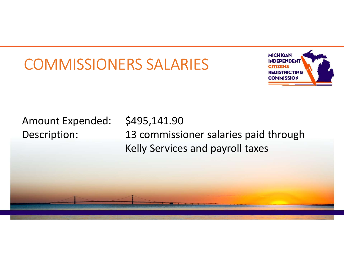# COMMISSIONERS SALARIES



COMMISSIONERS SALARIES<br>
Amount Expended: \$495,141.90<br>
Description: 13 commissioner salaries paid<br>
Kelly Services and payroll taxes COMMISSIONERS SALARIES Kelly Services and payroll taxes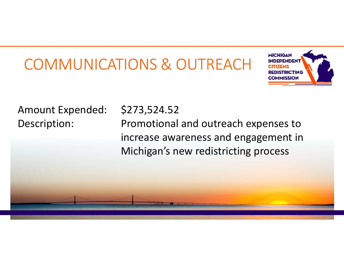# COMMUNICATIONS & OUTREACH INDEPENDENT COMMUNICATIONS & OUTREACH<br>Amount Expended: \$273,524.52<br>Description: Promotional and outreach expended: \$273,524.52<br>increase awareness and engage



COMMUNICATIONS & OUTREACH<br>
MEDITIONS<br>
Amount Expended: \$273,524.52<br>
Description: Promotional and outreach expenses to<br>
increase awareness and engagement in<br>
Michigan's new redistricting process increase awareness and engagement in Michigan's new redistricting process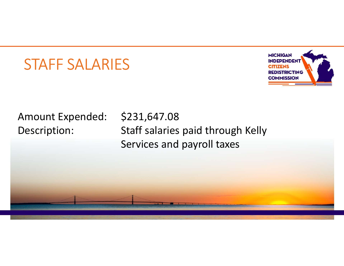### STAFF SALARIES



STAFF SALARIES<br>Amount Expended: \$231,647.08<br>Description: Staff salaries paid through Kelly<br>Services and payroll taxes STAFF SALARIES<br>
Amount Expended: \$231,647.08<br>
Description: Staff salaries paid through Kelly<br>
Services and payroll taxes Services and payroll taxes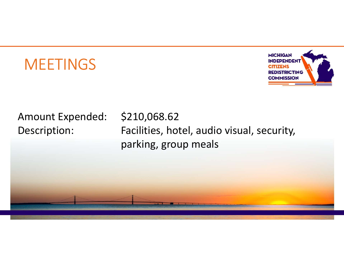# **MEETINGS**



MEETINGS<br>Amount Expended: \$210,068.62<br>Description: Facilities, hotel, audio visual, sending, group meals MEETINGS<br>
MEETINGS<br>
Amount Expended: \$210,068.62<br>
Description: Facilities, hotel, audio visual, security,<br>
parking, group meals parking, group meals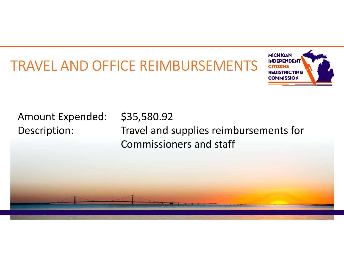# TRAVEL AND OFFICE REIMBURSEMENTS EVERERGENT



RAVEL AND OFFICE REIMBURSEMENTS<br>Amount Expended: \$35,580.92<br>Description: Travel and supplies reimburser<br>Commissioners and staff RAVEL AND OFFICE REIMBURSEMENTS<br>
MECHANICAL AND OFFICE REIMBURSEMENTS<br>
Amount Expended: \$35,580.92<br>
Description: Travel and supplies reimbursements for<br>
Commissioners and staff Commissioners and staff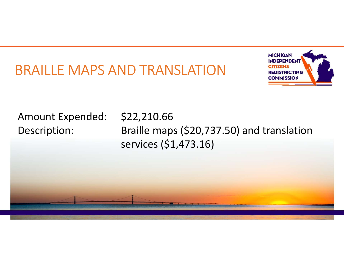## BRAILLE MAPS AND TRANSLATION



BRAILLE MAPS AND TRANSLATION<br>Amount Expended: \$22,210.66<br>Description: Braille maps (\$20,737.50) and<br>services (\$1,473.16) BRAILLE MAPS AND TRANSLATION<br>
Amount Expended: \$22,210.66<br>
Description: Braille maps (\$20,737.50) and translation<br>
services (\$1,473.16) services (\$1,473.16)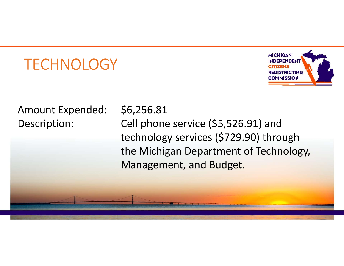# **TECHNOLOGY**



TECHNOLOGY<br>Amount Expended: \$6,256.81<br>Description: Cell phone service (\$5,526.91)<br>technology services (\$729.90) TECHNOLOGY<br>
Amount Expended: \$6,256.81<br>
Description: Cell phone service (\$5,526.91) and<br>
technology services (\$729.90) through<br>
the Michigan Department of Technology, technology services (\$729.90) through the Michigan Department of Technology, Management, and Budget.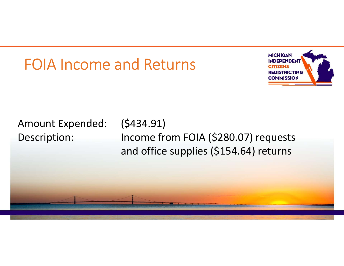# FOIA Income and Returns



FOIA Income and Returns<br>Amount Expended: (\$434.91)<br>Description: Income from FOIA (\$280.07) re<br>and office supplies (\$154.64) re FOIA Income and Returns<br>
Amount Expended: (\$434.91)<br>
Description: Income from FOIA (\$280.07) requests<br>
and office supplies (\$154.64) returns and office supplies (\$154.64) returns